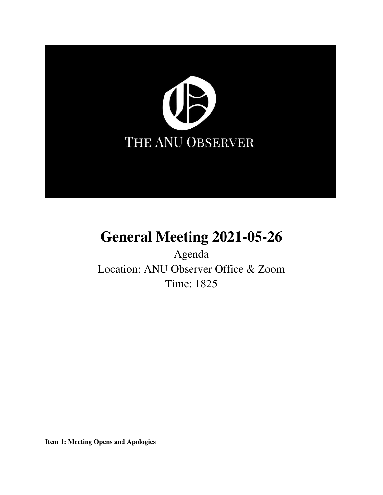

# **General Meeting 2021-05-26**

Agenda Location: ANU Observer Office & Zoom Time: 1825

**Item 1: Meeting Opens and Apologies**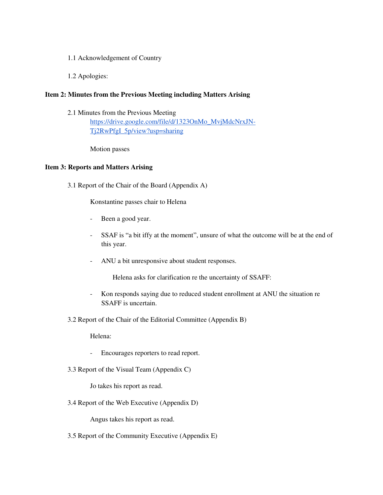- 1.1 Acknowledgement of Country
- 1.2 Apologies:

# **Item 2: Minutes from the Previous Meeting including Matters Arising**

2.1 Minutes from the Previous Meeting

[https://drive.google.com/file/d/1323OnMo\\_MvjMdcNrxJN-](https://drive.google.com/file/d/1323OnMo_MvjMdcNrxJN-Tj2RwPfgI_5p/view?usp=sharing)[Tj2RwPfgI\\_5p/view?usp=sharing](https://drive.google.com/file/d/1323OnMo_MvjMdcNrxJN-Tj2RwPfgI_5p/view?usp=sharing)

Motion passes

#### **Item 3: Reports and Matters Arising**

3.1 Report of the Chair of the Board (Appendix A)

Konstantine passes chair to Helena

- Been a good year.
- SSAF is "a bit iffy at the moment", unsure of what the outcome will be at the end of this year.
- ANU a bit unresponsive about student responses.

Helena asks for clarification re the uncertainty of SSAFF:

- Kon responds saying due to reduced student enrollment at ANU the situation re SSAFF is uncertain.
- 3.2 Report of the Chair of the Editorial Committee (Appendix B)

Helena:

- Encourages reporters to read report.
- 3.3 Report of the Visual Team (Appendix C)

Jo takes his report as read.

3.4 Report of the Web Executive (Appendix D)

Angus takes his report as read.

3.5 Report of the Community Executive (Appendix E)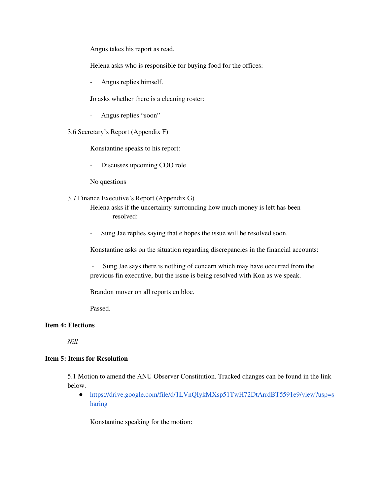Angus takes his report as read.

Helena asks who is responsible for buying food for the offices:

Angus replies himself.

Jo asks whether there is a cleaning roster:

- Angus replies "soon"

3.6 Secretary's Report (Appendix F)

Konstantine speaks to his report:

- Discusses upcoming COO role.

No questions

3.7 Finance Executive's Report (Appendix G)

Helena asks if the uncertainty surrounding how much money is left has been resolved:

- Sung Jae replies saying that e hopes the issue will be resolved soon.

Konstantine asks on the situation regarding discrepancies in the financial accounts:

Sung Jae says there is nothing of concern which may have occurred from the previous fin executive, but the issue is being resolved with Kon as we speak.

Brandon mover on all reports en bloc.

Passed.

# **Item 4: Elections**

*Nill* 

# **Item 5: Items for Resolution**

5.1 Motion to amend the ANU Observer Constitution. Tracked changes can be found in the link below.

● [https://drive.google.com/file/d/1LVnQIykMXsp51TwH72DtArrdBT5591e9/view?usp=s](https://drive.google.com/file/d/1LVnQIykMXsp51TwH72DtArrdBT5591e9/view?usp=sharing) [haring](https://drive.google.com/file/d/1LVnQIykMXsp51TwH72DtArrdBT5591e9/view?usp=sharing)

Konstantine speaking for the motion: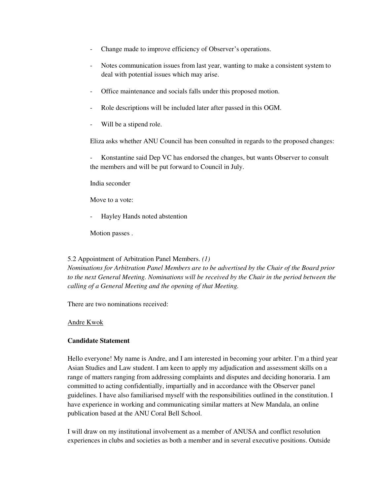- Change made to improve efficiency of Observer's operations.
- Notes communication issues from last year, wanting to make a consistent system to deal with potential issues which may arise.
- Office maintenance and socials falls under this proposed motion.
- Role descriptions will be included later after passed in this OGM.
- Will be a stipend role.

Eliza asks whether ANU Council has been consulted in regards to the proposed changes:

Konstantine said Dep VC has endorsed the changes, but wants Observer to consult the members and will be put forward to Council in July.

India seconder

Move to a vote:

Hayley Hands noted abstention

Motion passes .

#### 5.2 Appointment of Arbitration Panel Members. *(1)*

*Nominations for Arbitration Panel Members are to be advertised by the Chair of the Board prior to the next General Meeting. Nominations will be received by the Chair in the period between the calling of a General Meeting and the opening of that Meeting.* 

There are two nominations received:

#### Andre Kwok

# **Candidate Statement**

Hello everyone! My name is Andre, and I am interested in becoming your arbiter. I'm a third year Asian Studies and Law student. I am keen to apply my adjudication and assessment skills on a range of matters ranging from addressing complaints and disputes and deciding honoraria. I am committed to acting confidentially, impartially and in accordance with the Observer panel guidelines. I have also familiarised myself with the responsibilities outlined in the constitution. I have experience in working and communicating similar matters at New Mandala, an online publication based at the ANU Coral Bell School.

I will draw on my institutional involvement as a member of ANUSA and conflict resolution experiences in clubs and societies as both a member and in several executive positions. Outside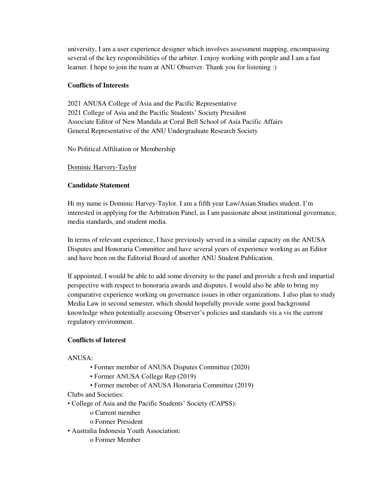university, I am a user experience designer which involves assessment mapping, encompassing several of the key responsibilities of the arbiter. I enjoy working with people and I am a fast learner. I hope to join the team at ANU Observer. Thank you for listening :)

# **Conflicts of Interests**

2021 ANUSA College of Asia and the Pacific Representative 2021 College of Asia and the Pacific Students' Society President Associate Editor of New Mandala at Coral Bell School of Asia Pacific Affairs General Representative of the ANU Undergraduate Research Society

No Political Affiliation or Membership

# Dominic Harvery-Taylor

# **Candidate Statement**

Hi my name is Dominic Harvey-Taylor. I am a fifth year Law/Asian Studies student. I'm interested in applying for the Arbitration Panel, as I am passionate about institutional governance, media standards, and student media.

In terms of relevant experience, I have previously served in a similar capacity on the ANUSA Disputes and Honoraria Committee and have several years of experience working as an Editor and have been on the Editorial Board of another ANU Student Publication.

If appointed, I would be able to add some diversity to the panel and provide a fresh and impartial perspective with respect to honoraria awards and disputes. I would also be able to bring my comparative experience working on governance issues in other organizations. I also plan to study Media Law in second semester, which should hopefully provide some good background knowledge when potentially assessing Observer's policies and standards vis a vis the current regulatory environment.

# **Conflicts of Interest**

# ANUSA:

- Former member of ANUSA Disputes Committee (2020)
- Former ANUSA College Rep (2019)
- Former member of ANUSA Honoraria Committee (2019)

Clubs and Societies:

- College of Asia and the Pacific Students' Society (CAPSS):
	- o Current member
	- o Former President
- Australia Indonesia Youth Association:
	- o Former Member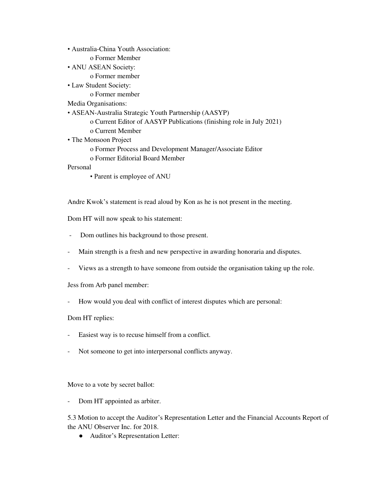• Australia-China Youth Association:

o Former Member

• ANU ASEAN Society:

o Former member

• Law Student Society:

o Former member

Media Organisations:

- ASEAN-Australia Strategic Youth Partnership (AASYP)
	- o Current Editor of AASYP Publications (finishing role in July 2021)
	- o Current Member
- The Monsoon Project
	- o Former Process and Development Manager/Associate Editor
	- o Former Editorial Board Member

Personal

• Parent is employee of ANU

Andre Kwok's statement is read aloud by Kon as he is not present in the meeting.

Dom HT will now speak to his statement:

- Dom outlines his background to those present.
- Main strength is a fresh and new perspective in awarding honoraria and disputes.
- Views as a strength to have someone from outside the organisation taking up the role.

Jess from Arb panel member:

- How would you deal with conflict of interest disputes which are personal:

Dom HT replies:

- Easiest way is to recuse himself from a conflict.
- Not someone to get into interpersonal conflicts anyway.

Move to a vote by secret ballot:

- Dom HT appointed as arbiter.

5.3 Motion to accept the Auditor's Representation Letter and the Financial Accounts Report of the ANU Observer Inc. for 2018.

● Auditor's Representation Letter: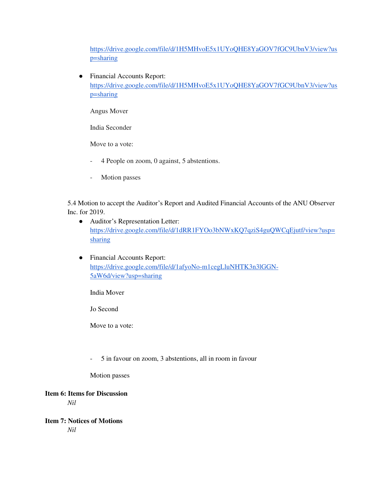[https://drive.google.com/file/d/1H5MHvoE5x1UYoQHE8YaGOV7fGC9UbnV3/view?us](https://drive.google.com/file/d/1H5MHvoE5x1UYoQHE8YaGOV7fGC9UbnV3/view?usp=sharing) [p=sharing](https://drive.google.com/file/d/1H5MHvoE5x1UYoQHE8YaGOV7fGC9UbnV3/view?usp=sharing)

● Financial Accounts Report: [https://drive.google.com/file/d/1H5MHvoE5x1UYoQHE8YaGOV7fGC9UbnV3/view?us](https://drive.google.com/file/d/1H5MHvoE5x1UYoQHE8YaGOV7fGC9UbnV3/view?usp=sharing) [p=sharing](https://drive.google.com/file/d/1H5MHvoE5x1UYoQHE8YaGOV7fGC9UbnV3/view?usp=sharing)

Angus Mover

India Seconder

Move to a vote:

- 4 People on zoom, 0 against, 5 abstentions.
- Motion passes

5.4 Motion to accept the Auditor's Report and Audited Financial Accounts of the ANU Observer Inc. for 2019.

- Auditor's Representation Letter: [https://drive.google.com/file/d/1dRR1FYOo3bNWxKQ7qziS4guQWCqEjutf/view?usp=](https://drive.google.com/file/d/1dRR1FYOo3bNWxKQ7qziS4guQWCqEjutf/view?usp=sharing) [sharing](https://drive.google.com/file/d/1dRR1FYOo3bNWxKQ7qziS4guQWCqEjutf/view?usp=sharing)
- Financial Accounts Report: [https://drive.google.com/file/d/1afyoNo-m1cegLluNHTK3n3lGGN-](https://drive.google.com/file/d/1afyoNo-m1cegLluNHTK3n3lGGN-5aW6d/view?usp=sharing)[5aW6d/view?usp=sharing](https://drive.google.com/file/d/1afyoNo-m1cegLluNHTK3n3lGGN-5aW6d/view?usp=sharing)

India Mover

Jo Second

Move to a vote:

- 5 in favour on zoom, 3 abstentions, all in room in favour

Motion passes

# **Item 6: Items for Discussion**

*Nil* 

**Item 7: Notices of Motions**  *Nil*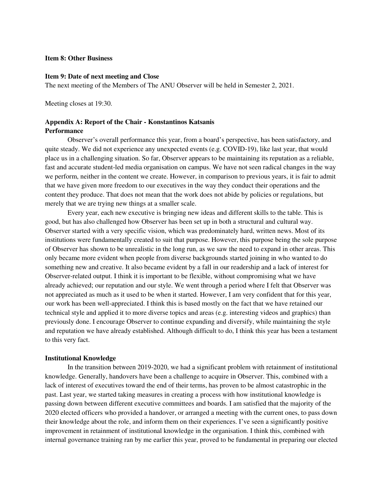# **Item 8: Other Business**

#### **Item 9: Date of next meeting and Close**

The next meeting of the Members of The ANU Observer will be held in Semester 2, 2021.

Meeting closes at 19:30.

#### **Appendix A: Report of the Chair - Konstantinos Katsanis Performance**

Observer's overall performance this year, from a board's perspective, has been satisfactory, and quite steady. We did not experience any unexpected events (e.g. COVID-19), like last year, that would place us in a challenging situation. So far, Observer appears to be maintaining its reputation as a reliable, fast and accurate student-led media organisation on campus. We have not seen radical changes in the way we perform, neither in the content we create. However, in comparison to previous years, it is fair to admit that we have given more freedom to our executives in the way they conduct their operations and the content they produce. That does not mean that the work does not abide by policies or regulations, but merely that we are trying new things at a smaller scale.

 Every year, each new executive is bringing new ideas and different skills to the table. This is good, but has also challenged how Observer has been set up in both a structural and cultural way. Observer started with a very specific vision, which was predominately hard, written news. Most of its institutions were fundamentally created to suit that purpose. However, this purpose being the sole purpose of Observer has shown to be unrealistic in the long run, as we saw the need to expand in other areas. This only became more evident when people from diverse backgrounds started joining in who wanted to do something new and creative. It also became evident by a fall in our readership and a lack of interest for Observer-related output. I think it is important to be flexible, without compromising what we have already achieved; our reputation and our style. We went through a period where I felt that Observer was not appreciated as much as it used to be when it started. However, I am very confident that for this year, our work has been well-appreciated. I think this is based mostly on the fact that we have retained our technical style and applied it to more diverse topics and areas (e.g. interesting videos and graphics) than previously done. I encourage Observer to continue expanding and diversify, while maintaining the style and reputation we have already established. Although difficult to do, I think this year has been a testament to this very fact.

#### **Institutional Knowledge**

 In the transition between 2019-2020, we had a significant problem with retainment of institutional knowledge. Generally, handovers have been a challenge to acquire in Observer. This, combined with a lack of interest of executives toward the end of their terms, has proven to be almost catastrophic in the past. Last year, we started taking measures in creating a process with how institutional knowledge is passing down between different executive committees and boards. I am satisfied that the majority of the 2020 elected officers who provided a handover, or arranged a meeting with the current ones, to pass down their knowledge about the role, and inform them on their experiences. I've seen a significantly positive improvement in retainment of institutional knowledge in the organisation. I think this, combined with internal governance training ran by me earlier this year, proved to be fundamental in preparing our elected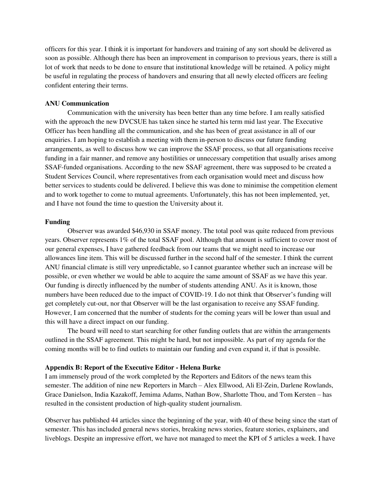officers for this year. I think it is important for handovers and training of any sort should be delivered as soon as possible. Although there has been an improvement in comparison to previous years, there is still a lot of work that needs to be done to ensure that institutional knowledge will be retained. A policy might be useful in regulating the process of handovers and ensuring that all newly elected officers are feeling confident entering their terms.

#### **ANU Communication**

 Communication with the university has been better than any time before. I am really satisfied with the approach the new DVCSUE has taken since he started his term mid last year. The Executive Officer has been handling all the communication, and she has been of great assistance in all of our enquiries. I am hoping to establish a meeting with them in-person to discuss our future funding arrangements, as well to discuss how we can improve the SSAF process, so that all organisations receive funding in a fair manner, and remove any hostilities or unnecessary competition that usually arises among SSAF-funded organisations. According to the new SSAF agreement, there was supposed to be created a Student Services Council, where representatives from each organisation would meet and discuss how better services to students could be delivered. I believe this was done to minimise the competition element and to work together to come to mutual agreements. Unfortunately, this has not been implemented, yet, and I have not found the time to question the University about it.

#### **Funding**

 Observer was awarded \$46,930 in SSAF money. The total pool was quite reduced from previous years. Observer represents 1% of the total SSAF pool. Although that amount is sufficient to cover most of our general expenses, I have gathered feedback from our teams that we might need to increase our allowances line item. This will be discussed further in the second half of the semester. I think the current ANU financial climate is still very unpredictable, so I cannot guarantee whether such an increase will be possible, or even whether we would be able to acquire the same amount of SSAF as we have this year. Our funding is directly influenced by the number of students attending ANU. As it is known, those numbers have been reduced due to the impact of COVID-19. I do not think that Observer's funding will get completely cut-out, nor that Observer will be the last organisation to receive any SSAF funding. However, I am concerned that the number of students for the coming years will be lower than usual and this will have a direct impact on our funding.

 The board will need to start searching for other funding outlets that are within the arrangements outlined in the SSAF agreement. This might be hard, but not impossible. As part of my agenda for the coming months will be to find outlets to maintain our funding and even expand it, if that is possible.

#### **Appendix B: Report of the Executive Editor - Helena Burke**

I am immensely proud of the work completed by the Reporters and Editors of the news team this semester. The addition of nine new Reporters in March – Alex Ellwood, Ali El-Zein, Darlene Rowlands, Grace Danielson, India Kazakoff, Jemima Adams, Nathan Bow, Sharlotte Thou, and Tom Kersten – has resulted in the consistent production of high-quality student journalism.

Observer has published 44 articles since the beginning of the year, with 40 of these being since the start of semester. This has included general news stories, breaking news stories, feature stories, explainers, and liveblogs. Despite an impressive effort, we have not managed to meet the KPI of 5 articles a week. I have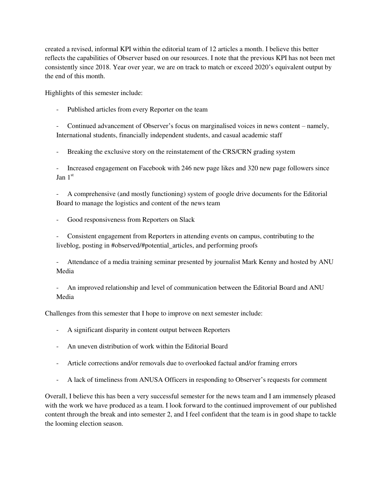created a revised, informal KPI within the editorial team of 12 articles a month. I believe this better reflects the capabilities of Observer based on our resources. I note that the previous KPI has not been met consistently since 2018. Year over year, we are on track to match or exceed 2020's equivalent output by the end of this month.

Highlights of this semester include:

Published articles from every Reporter on the team

- Continued advancement of Observer's focus on marginalised voices in news content – namely, International students, financially independent students, and casual academic staff

- Breaking the exclusive story on the reinstatement of the CRS/CRN grading system

- Increased engagement on Facebook with 246 new page likes and 320 new page followers since  $\text{Jan } 1^{\text{st}}$ 

- A comprehensive (and mostly functioning) system of google drive documents for the Editorial Board to manage the logistics and content of the news team

Good responsiveness from Reporters on Slack

- Consistent engagement from Reporters in attending events on campus, contributing to the liveblog, posting in #observed/#potential\_articles, and performing proofs

- Attendance of a media training seminar presented by journalist Mark Kenny and hosted by ANU Media

- An improved relationship and level of communication between the Editorial Board and ANU Media

Challenges from this semester that I hope to improve on next semester include:

- A significant disparity in content output between Reporters
- An uneven distribution of work within the Editorial Board
- Article corrections and/or removals due to overlooked factual and/or framing errors
- A lack of timeliness from ANUSA Officers in responding to Observer's requests for comment

Overall, I believe this has been a very successful semester for the news team and I am immensely pleased with the work we have produced as a team. I look forward to the continued improvement of our published content through the break and into semester 2, and I feel confident that the team is in good shape to tackle the looming election season.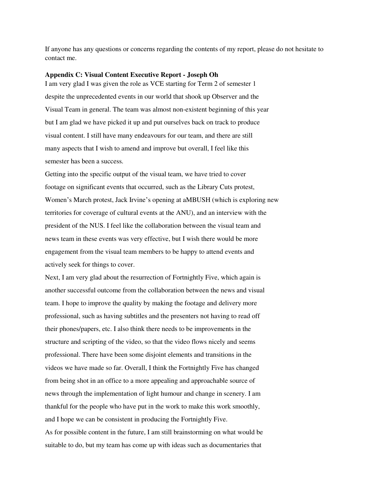If anyone has any questions or concerns regarding the contents of my report, please do not hesitate to contact me.

#### **Appendix C: Visual Content Executive Report - Joseph Oh**

I am very glad I was given the role as VCE starting for Term 2 of semester 1 despite the unprecedented events in our world that shook up Observer and the Visual Team in general. The team was almost non-existent beginning of this year but I am glad we have picked it up and put ourselves back on track to produce visual content. I still have many endeavours for our team, and there are still many aspects that I wish to amend and improve but overall, I feel like this semester has been a success.

Getting into the specific output of the visual team, we have tried to cover footage on significant events that occurred, such as the Library Cuts protest, Women's March protest, Jack Irvine's opening at aMBUSH (which is exploring new territories for coverage of cultural events at the ANU), and an interview with the president of the NUS. I feel like the collaboration between the visual team and news team in these events was very effective, but I wish there would be more engagement from the visual team members to be happy to attend events and actively seek for things to cover.

Next, I am very glad about the resurrection of Fortnightly Five, which again is another successful outcome from the collaboration between the news and visual team. I hope to improve the quality by making the footage and delivery more professional, such as having subtitles and the presenters not having to read off their phones/papers, etc. I also think there needs to be improvements in the structure and scripting of the video, so that the video flows nicely and seems professional. There have been some disjoint elements and transitions in the videos we have made so far. Overall, I think the Fortnightly Five has changed from being shot in an office to a more appealing and approachable source of news through the implementation of light humour and change in scenery. I am thankful for the people who have put in the work to make this work smoothly, and I hope we can be consistent in producing the Fortnightly Five. As for possible content in the future, I am still brainstorming on what would be suitable to do, but my team has come up with ideas such as documentaries that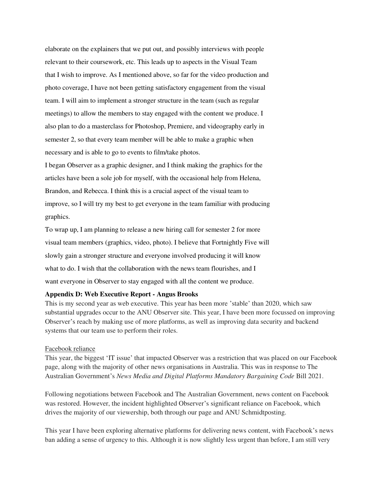elaborate on the explainers that we put out, and possibly interviews with people relevant to their coursework, etc. This leads up to aspects in the Visual Team that I wish to improve. As I mentioned above, so far for the video production and photo coverage, I have not been getting satisfactory engagement from the visual team. I will aim to implement a stronger structure in the team (such as regular meetings) to allow the members to stay engaged with the content we produce. I also plan to do a masterclass for Photoshop, Premiere, and videography early in semester 2, so that every team member will be able to make a graphic when necessary and is able to go to events to film/take photos.

I began Observer as a graphic designer, and I think making the graphics for the articles have been a sole job for myself, with the occasional help from Helena, Brandon, and Rebecca. I think this is a crucial aspect of the visual team to improve, so I will try my best to get everyone in the team familiar with producing graphics.

To wrap up, I am planning to release a new hiring call for semester 2 for more visual team members (graphics, video, photo). I believe that Fortnightly Five will slowly gain a stronger structure and everyone involved producing it will know what to do. I wish that the collaboration with the news team flourishes, and I want everyone in Observer to stay engaged with all the content we produce.

#### **Appendix D: Web Executive Report - Angus Brooks**

This is my second year as web executive. This year has been more 'stable' than 2020, which saw substantial upgrades occur to the ANU Observer site. This year, I have been more focussed on improving Observer's reach by making use of more platforms, as well as improving data security and backend systems that our team use to perform their roles.

#### Facebook reliance

This year, the biggest 'IT issue' that impacted Observer was a restriction that was placed on our Facebook page, along with the majority of other news organisations in Australia. This was in response to The Australian Government's *News Media and Digital Platforms Mandatory Bargaining Code* Bill 2021.

Following negotiations between Facebook and The Australian Government, news content on Facebook was restored. However, the incident highlighted Observer's significant reliance on Facebook, which drives the majority of our viewership, both through our page and ANU Schmidtposting.

This year I have been exploring alternative platforms for delivering news content, with Facebook's news ban adding a sense of urgency to this. Although it is now slightly less urgent than before, I am still very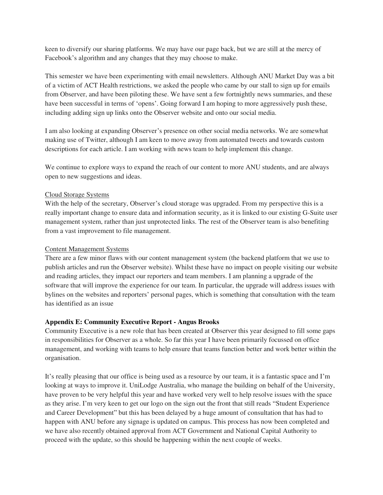keen to diversify our sharing platforms. We may have our page back, but we are still at the mercy of Facebook's algorithm and any changes that they may choose to make.

This semester we have been experimenting with email newsletters. Although ANU Market Day was a bit of a victim of ACT Health restrictions, we asked the people who came by our stall to sign up for emails from Observer, and have been piloting these. We have sent a few fortnightly news summaries, and these have been successful in terms of 'opens'. Going forward I am hoping to more aggressively push these, including adding sign up links onto the Observer website and onto our social media.

I am also looking at expanding Observer's presence on other social media networks. We are somewhat making use of Twitter, although I am keen to move away from automated tweets and towards custom descriptions for each article. I am working with news team to help implement this change.

We continue to explore ways to expand the reach of our content to more ANU students, and are always open to new suggestions and ideas.

# Cloud Storage Systems

With the help of the secretary, Observer's cloud storage was upgraded. From my perspective this is a really important change to ensure data and information security, as it is linked to our existing G-Suite user management system, rather than just unprotected links. The rest of the Observer team is also benefiting from a vast improvement to file management.

# Content Management Systems

There are a few minor flaws with our content management system (the backend platform that we use to publish articles and run the Observer website). Whilst these have no impact on people visiting our website and reading articles, they impact our reporters and team members. I am planning a upgrade of the software that will improve the experience for our team. In particular, the upgrade will address issues with bylines on the websites and reporters' personal pages, which is something that consultation with the team has identified as an issue

# **Appendix E: Community Executive Report - Angus Brooks**

Community Executive is a new role that has been created at Observer this year designed to fill some gaps in responsibilities for Observer as a whole. So far this year I have been primarily focussed on office management, and working with teams to help ensure that teams function better and work better within the organisation.

It's really pleasing that our office is being used as a resource by our team, it is a fantastic space and I'm looking at ways to improve it. UniLodge Australia, who manage the building on behalf of the University, have proven to be very helpful this year and have worked very well to help resolve issues with the space as they arise. I'm very keen to get our logo on the sign out the front that still reads "Student Experience and Career Development" but this has been delayed by a huge amount of consultation that has had to happen with ANU before any signage is updated on campus. This process has now been completed and we have also recently obtained approval from ACT Government and National Capital Authority to proceed with the update, so this should be happening within the next couple of weeks.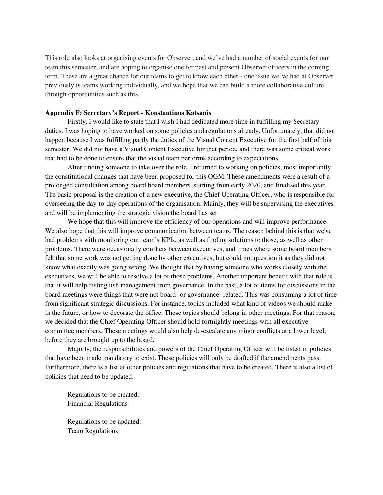This role also looks at organising events for Observer, and we've had a number of social events for our team this semester, and are hoping to organise one for past and present Observer officers in the coming term. These are a great chance for our teams to get to know each other - one issue we've had at Observer previously is teams working individually, and we hope that we can build a more collaborative culture through opportunities such as this.

#### **Appendix F: Secretary's Report - Konstantinos Katsanis**

 Firstly, I would like to state that I wish I had dedicated more time in fulfilling my Secretary duties. I was hoping to have worked on some policies and regulations already. Unfortunately, that did not happen because I was fulfilling partly the duties of the Visual Content Executive for the first half of this semester. We did not have a Visual Content Executive for that period, and there was some critical work that had to be done to ensure that the visual team performs according to expectations.

After finding someone to take over the role, I returned to working on policies, most importantly the constitutional changes that have been proposed for this OGM. These amendments were a result of a prolonged consultation among board board members, starting from early 2020, and finalised this year. The basic proposal is the creation of a new executive, the Chief Operating Officer, who is responsible for overseeing the day-to-day operations of the organisation. Mainly, they will be supervising the executives and will be implementing the strategic vision the board has set.

We hope that this will improve the efficiency of our operations and will improve performance. We also hope that this will improve communication between teams. The reason behind this is that we've had problems with monitoring our team's KPIs, as well as finding solutions to those, as well as other problems. There were occasionally conflicts between executives, and times where some board members felt that some work was not getting done by other executives, but could not question it as they did not know what exactly was going wrong. We thought that by having someone who works closely with the executives, we will be able to resolve a lot of those problems. Another important benefit with that role is that it will help distinguish management from governance. In the past, a lot of items for discussions in the board meetings were things that were not board- or governance- related. This was consuming a lot of time from significant strategic discussions. For instance, topics included what kind of videos we should make in the future, or how to decorate the office. These topics should belong in other meetings. For that reason, we decided that the Chief Operating Officer should hold fortnightly meetings with all executive committee members. These meetings would also help de-escalate any minor conflicts at a lower level, before they are brought up to the board.

Majorly, the responsibilities and powers of the Chief Operating Officer will be listed in policies that have been made mandatory to exist. These policies will only be drafted if the amendments pass. Furthermore, there is a list of other policies and regulations that have to be created. There is also a list of policies that need to be updated.

Regulations to be created: Financial Regulations

Regulations to be updated: Team Regulations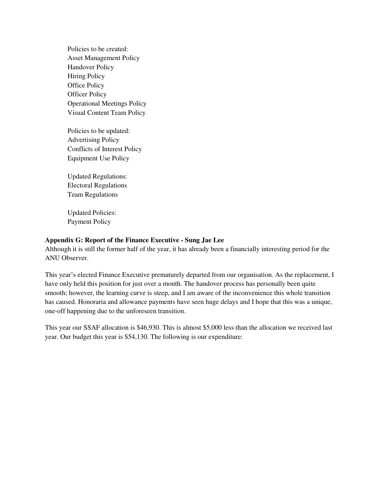Policies to be created: Asset Management Policy Handover Policy Hiring Policy Office Policy Officer Policy Operational Meetings Policy Visual Content Team Policy

Policies to be updated: Advertising Policy Conflicts of Interest Policy Equipment Use Policy

Updated Regulations: Electoral Regulations Team Regulations

Updated Policies: Payment Policy

#### **Appendix G: Report of the Finance Executive - Sung Jae Lee**

Although it is still the former half of the year, it has already been a financially interesting period for the ANU Observer.

This year's elected Finance Executive prematurely departed from our organisation. As the replacement, I have only held this position for just over a month. The handover process has personally been quite smooth; however, the learning curve is steep, and I am aware of the inconvenience this whole transition has caused. Honoraria and allowance payments have seen huge delays and I hope that this was a unique, one-off happening due to the unforeseen transition.

This year our SSAF allocation is \$46,930. This is almost \$5,000 less than the allocation we received last year. Our budget this year is \$54,130. The following is our expenditure: